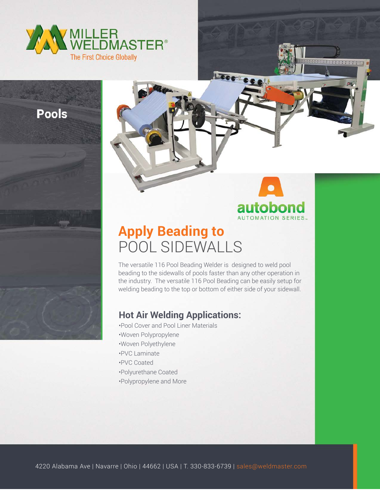

**Pools** 



. . . . . . . .

## **Apply Beading to** POOL SIDEWALLS

The versatile 116 Pool Beading Welder is designed to weld pool beading to the sidewalls of pools faster than any other operation in the industry. The versatile 116 Pool Beading can be easily setup for welding beading to the top or bottom of either side of your sidewall.

## **Hot Air Welding Applications:**

•Pool Cover and Pool Liner Materials •Woven Polypropylene •Woven Polyethylene •PVC Laminate •PVC Coated •Polyurethane Coated •Polypropylene and More